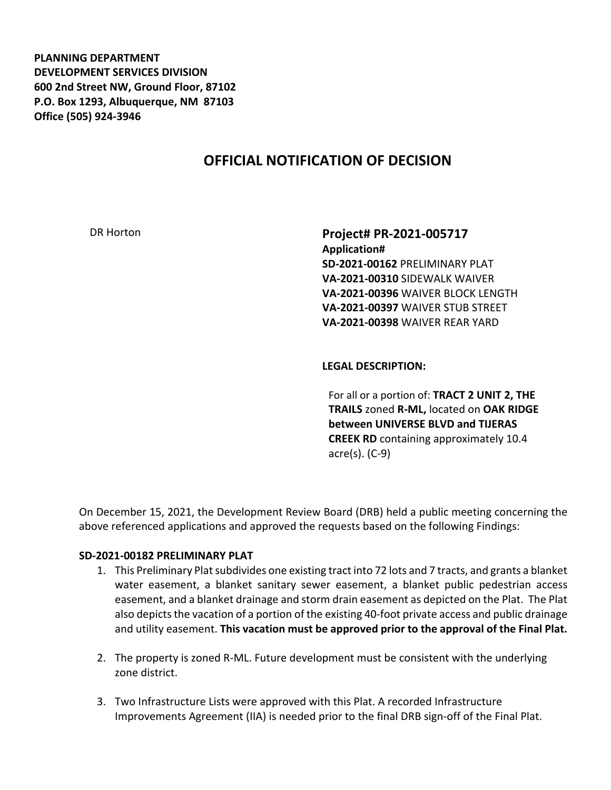**PLANNING DEPARTMENT DEVELOPMENT SERVICES DIVISION 600 2nd Street NW, Ground Floor, 87102 P.O. Box 1293, Albuquerque, NM 87103 Office (505) 924-3946** 

# **OFFICIAL NOTIFICATION OF DECISION**

DR Horton **Project# PR-2021-005717 Application# SD-2021-00162** PRELIMINARY PLAT **VA-2021-00310** SIDEWALK WAIVER **VA-2021-00396** WAIVER BLOCK LENGTH **VA-2021-00397** WAIVER STUB STREET **VA-2021-00398** WAIVER REAR YARD

#### **LEGAL DESCRIPTION:**

For all or a portion of: **TRACT 2 UNIT 2, THE TRAILS** zoned **R-ML,** located on **OAK RIDGE between UNIVERSE BLVD and TIJERAS CREEK RD** containing approximately 10.4 acre(s). (C-9)

On December 15, 2021, the Development Review Board (DRB) held a public meeting concerning the above referenced applications and approved the requests based on the following Findings:

#### **SD-2021-00182 PRELIMINARY PLAT**

- 1. This Preliminary Plat subdivides one existing tract into 72 lots and 7 tracts, and grants a blanket water easement, a blanket sanitary sewer easement, a blanket public pedestrian access easement, and a blanket drainage and storm drain easement as depicted on the Plat. The Plat also depicts the vacation of a portion of the existing 40-foot private access and public drainage and utility easement. **This vacation must be approved prior to the approval of the Final Plat.**
- 2. The property is zoned R-ML. Future development must be consistent with the underlying zone district.
- 3. Two Infrastructure Lists were approved with this Plat. A recorded Infrastructure Improvements Agreement (IIA) is needed prior to the final DRB sign-off of the Final Plat.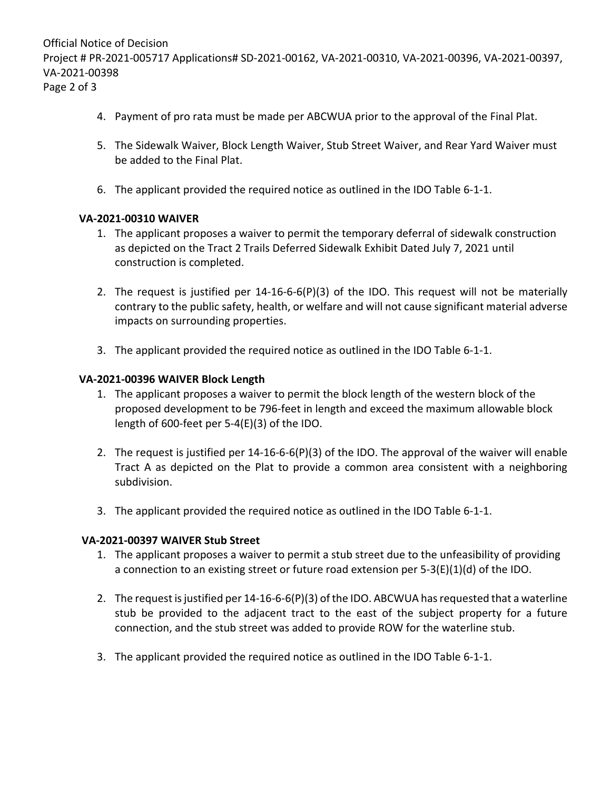Official Notice of Decision Project # PR-2021-005717 Applications# SD-2021-00162, VA-2021-00310, VA-2021-00396, VA-2021-00397, VA-2021-00398 Page 2 of 3

- 4. Payment of pro rata must be made per ABCWUA prior to the approval of the Final Plat.
- 5. The Sidewalk Waiver, Block Length Waiver, Stub Street Waiver, and Rear Yard Waiver must be added to the Final Plat.
- 6. The applicant provided the required notice as outlined in the IDO Table 6-1-1.

# **VA-2021-00310 WAIVER**

- 1. The applicant proposes a waiver to permit the temporary deferral of sidewalk construction as depicted on the Tract 2 Trails Deferred Sidewalk Exhibit Dated July 7, 2021 until construction is completed.
- 2. The request is justified per 14-16-6-6(P)(3) of the IDO. This request will not be materially contrary to the public safety, health, or welfare and will not cause significant material adverse impacts on surrounding properties.
- 3. The applicant provided the required notice as outlined in the IDO Table 6-1-1.

## **VA-2021-00396 WAIVER Block Length**

- 1. The applicant proposes a waiver to permit the block length of the western block of the proposed development to be 796-feet in length and exceed the maximum allowable block length of 600-feet per 5-4(E)(3) of the IDO.
- 2. The request is justified per 14-16-6-6(P)(3) of the IDO. The approval of the waiver will enable Tract A as depicted on the Plat to provide a common area consistent with a neighboring subdivision.
- 3. The applicant provided the required notice as outlined in the IDO Table 6-1-1.

# **VA-2021-00397 WAIVER Stub Street**

- 1. The applicant proposes a waiver to permit a stub street due to the unfeasibility of providing a connection to an existing street or future road extension per  $5-3(E)(1)(d)$  of the IDO.
- 2. The request is justified per 14-16-6-6(P)(3) of the IDO. ABCWUA has requested that a waterline stub be provided to the adjacent tract to the east of the subject property for a future connection, and the stub street was added to provide ROW for the waterline stub.
- 3. The applicant provided the required notice as outlined in the IDO Table 6-1-1.